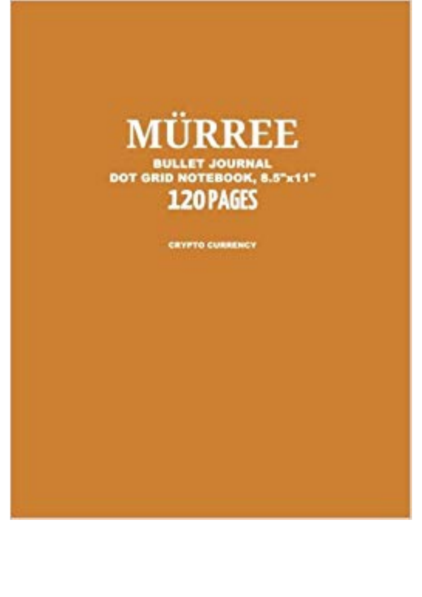## MÜRREE

**BULLET JOURNAL** DOT GRID NOTEBOOK, 8.5"x11" 120 PAGES

**CRYPTO CURRENCY**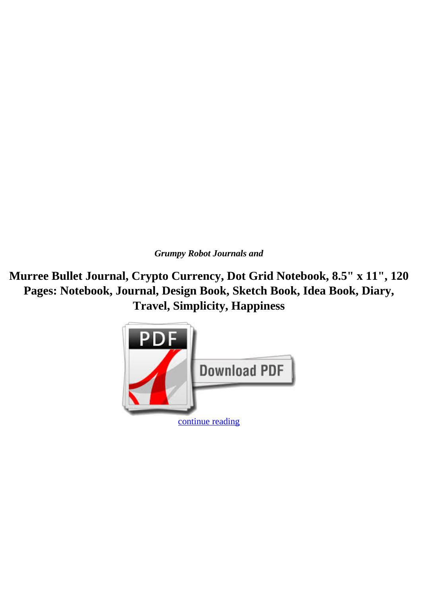*Grumpy Robot Journals and*

**Murree Bullet Journal, Crypto Currency, Dot Grid Notebook, 8.5" x 11", 120 Pages: Notebook, Journal, Design Book, Sketch Book, Idea Book, Diary, Travel, Simplicity, Happiness**

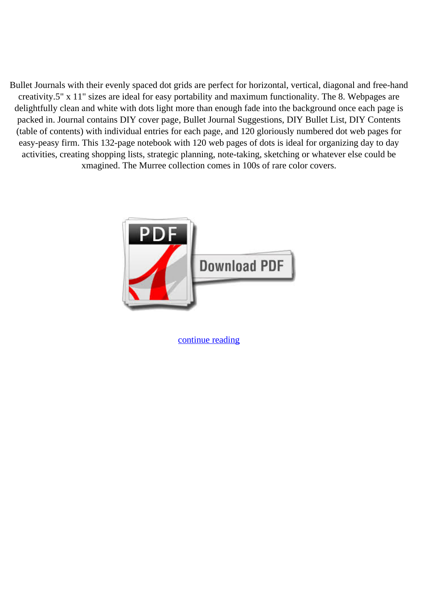Bullet Journals with their evenly spaced dot grids are perfect for horizontal, vertical, diagonal and free-hand creativity.5" x 11" sizes are ideal for easy portability and maximum functionality. The 8. Webpages are delightfully clean and white with dots light more than enough fade into the background once each page is packed in. Journal contains DIY cover page, Bullet Journal Suggestions, DIY Bullet List, DIY Contents (table of contents) with individual entries for each page, and 120 gloriously numbered dot web pages for easy-peasy firm. This 132-page notebook with 120 web pages of dots is ideal for organizing day to day activities, creating shopping lists, strategic planning, note-taking, sketching or whatever else could be xmagined. The Murree collection comes in 100s of rare color covers.



[continue reading](http://bit.ly/2Tge8Fv)